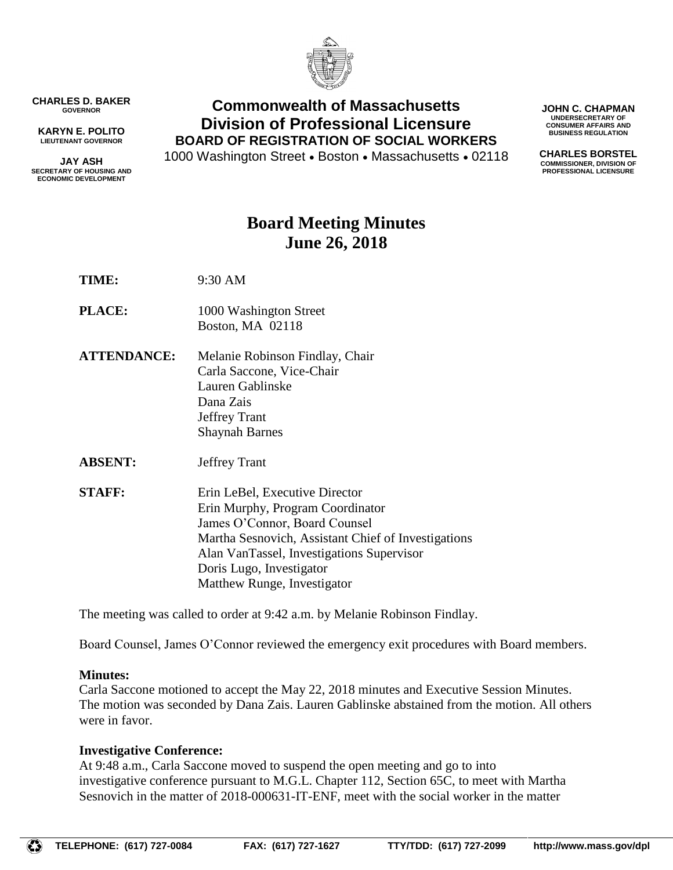

**CHARLES D. BAKER GOVERNOR**

**KARYN E. POLITO LIEUTENANT GOVERNOR**

**JAY ASH SECRETARY OF HOUSING AND ECONOMIC DEVELOPMENT**

## **Commonwealth of Massachusetts Division of Professional Licensure BOARD OF REGISTRATION OF SOCIAL WORKERS**

1000 Washington Street • Boston • Massachusetts • 02118

**JOHN C. CHAPMAN UNDERSECRETARY OF CONSUMER AFFAIRS AND BUSINESS REGULATION**

**CHARLES BORSTEL COMMISSIONER, DIVISION OF PROFESSIONAL LICENSURE**

# **Board Meeting Minutes June 26, 2018**

**TIME:** 9:30 AM

- **PLACE:** 1000 Washington Street Boston, MA 02118
- **ATTENDANCE:** Melanie Robinson Findlay, Chair Carla Saccone, Vice-Chair Lauren Gablinske Dana Zais Jeffrey Trant Shaynah Barnes
- **ABSENT:** Jeffrey Trant
- **STAFF:** Erin LeBel, Executive Director Erin Murphy, Program Coordinator James O'Connor, Board Counsel Martha Sesnovich, Assistant Chief of Investigations Alan VanTassel, Investigations Supervisor Doris Lugo, Investigator Matthew Runge, Investigator

The meeting was called to order at 9:42 a.m. by Melanie Robinson Findlay.

Board Counsel, James O'Connor reviewed the emergency exit procedures with Board members.

## **Minutes:**

Carla Saccone motioned to accept the May 22, 2018 minutes and Executive Session Minutes. The motion was seconded by Dana Zais. Lauren Gablinske abstained from the motion. All others were in favor.

## **Investigative Conference:**

At 9:48 a.m., Carla Saccone moved to suspend the open meeting and go to into investigative conference pursuant to M.G.L. Chapter 112, Section 65C, to meet with Martha Sesnovich in the matter of 2018-000631-IT-ENF, meet with the social worker in the matter

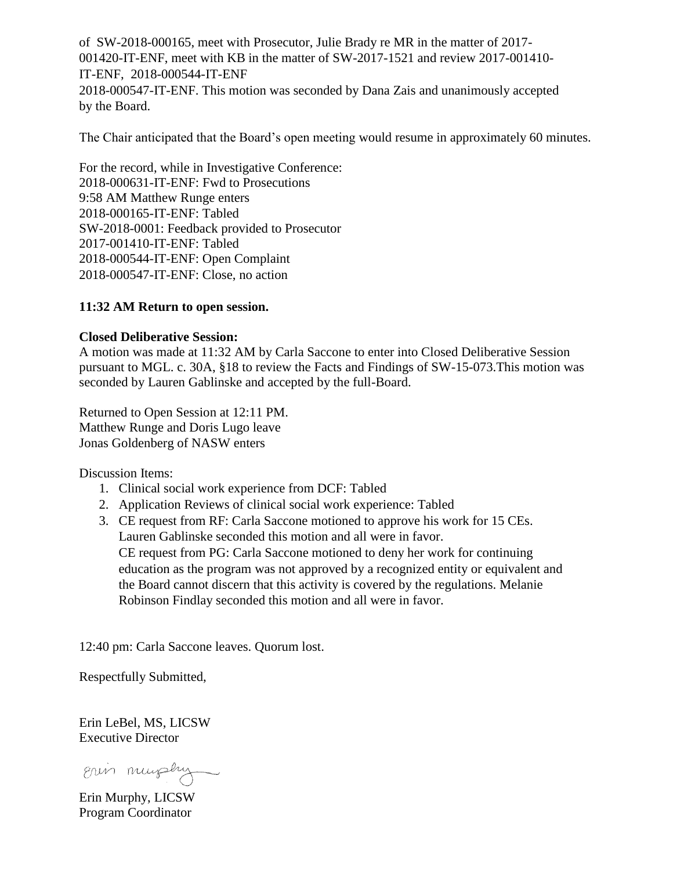of SW-2018-000165, meet with Prosecutor, Julie Brady re MR in the matter of 2017- 001420-IT-ENF, meet with KB in the matter of SW-2017-1521 and review 2017-001410- IT-ENF, 2018-000544-IT-ENF 2018-000547-IT-ENF. This motion was seconded by Dana Zais and unanimously accepted by the Board.

The Chair anticipated that the Board's open meeting would resume in approximately 60 minutes.

For the record, while in Investigative Conference: 2018-000631-IT-ENF: Fwd to Prosecutions 9:58 AM Matthew Runge enters 2018-000165-IT-ENF: Tabled SW-2018-0001: Feedback provided to Prosecutor 2017-001410-IT-ENF: Tabled 2018-000544-IT-ENF: Open Complaint 2018-000547-IT-ENF: Close, no action

### **11:32 AM Return to open session.**

#### **Closed Deliberative Session:**

A motion was made at 11:32 AM by Carla Saccone to enter into Closed Deliberative Session pursuant to MGL. c. 30A, §18 to review the Facts and Findings of SW-15-073.This motion was seconded by Lauren Gablinske and accepted by the full-Board.

Returned to Open Session at 12:11 PM. Matthew Runge and Doris Lugo leave Jonas Goldenberg of NASW enters

Discussion Items:

- 1. Clinical social work experience from DCF: Tabled
- 2. Application Reviews of clinical social work experience: Tabled
- 3. CE request from RF: Carla Saccone motioned to approve his work for 15 CEs. Lauren Gablinske seconded this motion and all were in favor. CE request from PG: Carla Saccone motioned to deny her work for continuing education as the program was not approved by a recognized entity or equivalent and the Board cannot discern that this activity is covered by the regulations. Melanie Robinson Findlay seconded this motion and all were in favor.

12:40 pm: Carla Saccone leaves. Quorum lost.

Respectfully Submitted,

Erin LeBel, MS, LICSW Executive Director

Erin murphy

Erin Murphy, LICSW Program Coordinator